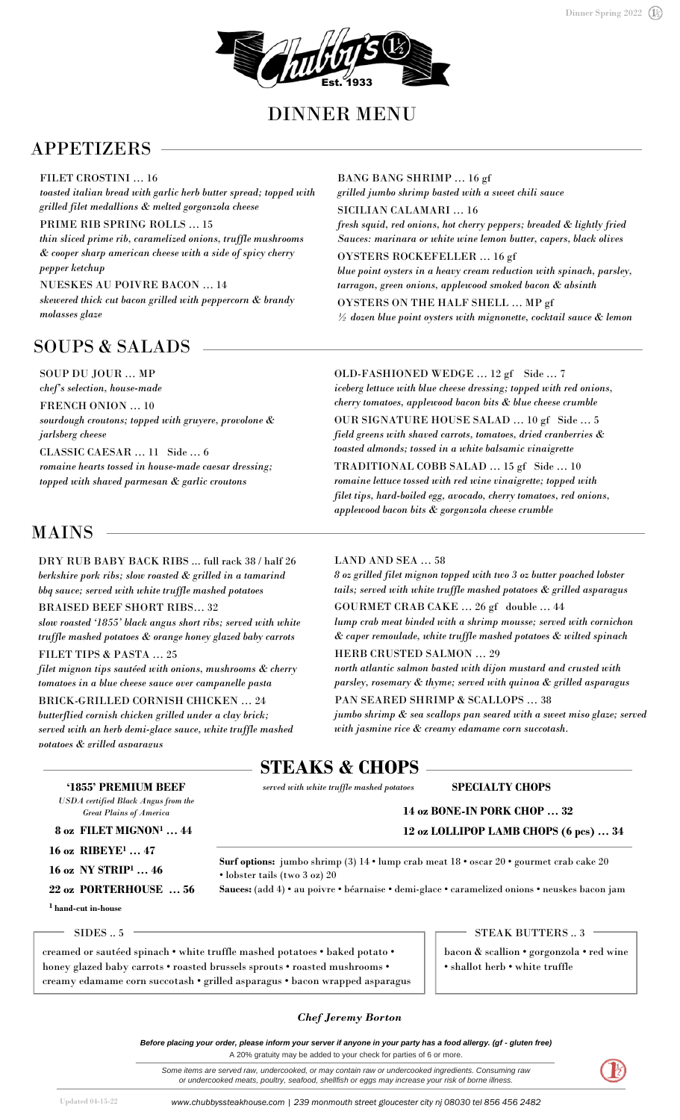

# DINNER MENU

## APPETIZERS

FILET CROSTINI … 16 *toasted italian bread with garlic herb butter spread; topped with grilled filet medallions & melted gorgonzola cheese*

PRIME RIB SPRING ROLLS … 15 *thin sliced prime rib, caramelized onions, truffle mushrooms & cooper sharp american cheese with a side of spicy cherry pepper ketchup*

NUESKES AU POIVRE BACON … 14 *skewered thick cut bacon grilled with peppercorn & brandy molasses glaze*

# SOUPS & SALADS

SOUP DU JOUR … MP c*hef's selection, house-made*

FRENCH ONION … 10 *sourdough croutons; topped with gruyere, provolone & jarlsberg cheese*

CLASSIC CAESAR … 11 Side … 6 *romaine hearts tossed in house-made caesar dressing; topped with shaved parmesan & garlic croutons*

# MAINS

DRY RUB BABY BACK RIBS ... full rack 38 / half 26 *berkshire pork ribs; slow roasted & grilled in a tamarind bbq sauce; served with white truffle mashed potatoes* BRAISED BEEF SHORT RIBS… 32 *slow roasted '1855' black angus short ribs; served with white*

*truffle mashed potatoes & orange honey glazed baby carrots* FILET TIPS & PASTA … 25

*filet mignon tips sautéed with onions, mushrooms & cherry tomatoes in a blue cheese sauce over campanelle pasta*

BRICK-GRILLED CORNISH CHICKEN … 24 *butterflied cornish chicken grilled under a clay brick; served with an herb demi-glace sauce, white truffle mashed potatoes & grilled asparagus*

BANG BANG SHRIMP … 16 gf

*grilled jumbo shrimp basted with a sweet chili sauce* SICILIAN CALAMARI … 16

*fresh squid, red onions, hot cherry peppers; breaded & lightly fried Sauces: marinara or white wine lemon butter, capers, black olives* OYSTERS ROCKEFELLER … 16 gf

*blue point oysters in a heavy cream reduction with spinach, parsley, tarragon, green onions, applewood smoked bacon & absinth* OYSTERS ON THE HALF SHELL … MP gf *½ dozen blue point oysters with mignonette, cocktail sauce & lemon*

OLD-FASHIONED WEDGE … 12 gf Side … 7 *iceberg lettuce with blue cheese dressing; topped with red onions, cherry tomatoes, applewood bacon bits & blue cheese crumble* OUR SIGNATURE HOUSE SALAD … 10 gf Side … 5

*field greens with shaved carrots, tomatoes, dried cranberries & toasted almonds; tossed in a white balsamic vinaigrette*

TRADITIONAL COBB SALAD … 15 gf Side … 10 *romaine lettuce tossed with red wine vinaigrette; topped with filet tips, hard-boiled egg, avocado, cherry tomatoes, red onions, applewood bacon bits & gorgonzola cheese crumble*

### LAND AND SEA … 58

*8 oz grilled filet mignon topped with two 3 oz butter poached lobster tails; served with white truffle mashed potatoes & grilled asparagus*

 GOURMET CRAB CAKE … 26 gf double … 44  *lump crab meat binded with a shrimp mousse; served with cornichon & caper remoulade, white truffle mashed potatoes & wilted spinach*

HERB CRUSTED SALMON … 29

 *north atlantic salmon basted with dijon mustard and crusted with parsley, rosemary & thyme; served with quinoa & grilled asparagus* PAN SEARED SHRIMP & SCALLOPS … 38

*jumbo shrimp & sea scallops pan seared with a sweet miso glaze; served with jasmine rice & creamy edamame corn succotash.*

# **STEAKS & CHOPS**

*served with white truffle mashed potatoes*

**SPECIALTY CHOPS**

*Great Plains of America*  **8 oz FILET MIGNON<sup>1</sup> … 44**

**'1855' PREMIUM BEEF** *USDA certified Black Angus from the* 

**16 oz RIBEYE<sup>1</sup> … 47**

**16 oz NY STRIP<sup>1</sup> … 46**

**22 oz PORTERHOUSE … 56**

**<sup>1</sup>hand-cut in-house**

**Surf options:** jumbo shrimp (3) 14 • lump crab meat 18 • oscar 20 • gourmet crab cake 20 **Sauces:** (add 4) • au poivre • béarnaise • demi-glace • caramelized onions • neuskes bacon jam

SIDES .. 5

creamed or sautéed spinach • white truffle mashed potatoes • baked potato • honey glazed baby carrots • roasted brussels sprouts • roasted mushrooms • creamy edamame corn succotash • grilled asparagus • bacon wrapped asparagus

### STEAK BUTTERS .. 3

bacon & scallion • gorgonzola • red wine • shallot herb • white truffle

#### *Chef Jeremy Borton*

*Before placing your order, please inform your server if anyone in your party has a food allergy. (gf - gluten free)* A 20% gratuity may be added to your check for parties of 6 or more.

*Some items are served raw, undercooked, or may contain raw or undercooked ingredients. Consuming raw*

*www.chubbyssteakhouse.com | 239 monmouth street gloucester city nj 08030 tel 856 456 2482* 

*or undercooked meats, poultry, seafood, shellfish or eggs may increase your risk of borne illness.*





• lobster tails (two 3 oz) 20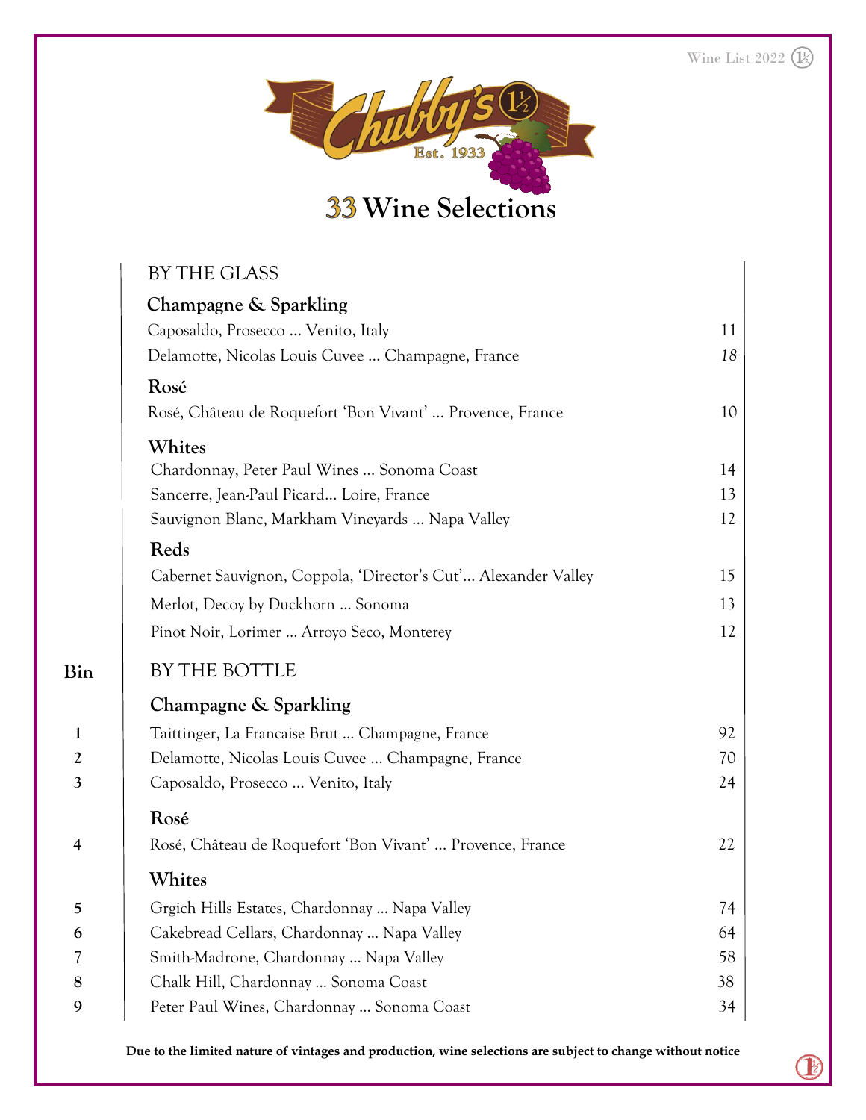

# **Wine Selections**

|                  | <b>BY THE GLASS</b>                                            |    |
|------------------|----------------------------------------------------------------|----|
|                  | Champagne & Sparkling                                          |    |
|                  | Caposaldo, Prosecco  Venito, Italy                             | 11 |
|                  | Delamotte, Nicolas Louis Cuvee  Champagne, France              | 18 |
|                  | Rosé                                                           |    |
|                  | Rosé, Château de Roquefort 'Bon Vivant'  Provence, France      | 10 |
|                  | Whites                                                         |    |
|                  | Chardonnay, Peter Paul Wines  Sonoma Coast                     | 14 |
|                  | Sancerre, Jean-Paul Picard Loire, France                       | 13 |
|                  | Sauvignon Blanc, Markham Vineyards  Napa Valley                | 12 |
|                  | Reds                                                           |    |
|                  | Cabernet Sauvignon, Coppola, 'Director's Cut' Alexander Valley | 15 |
|                  | Merlot, Decoy by Duckhorn  Sonoma                              | 13 |
|                  | Pinot Noir, Lorimer  Arroyo Seco, Monterey                     | 12 |
| Bin              | BY THE BOTTLE                                                  |    |
|                  | Champagne & Sparkling                                          |    |
| $\mathbf{1}$     | Taittinger, La Francaise Brut  Champagne, France               | 92 |
| $\boldsymbol{2}$ | Delamotte, Nicolas Louis Cuvee  Champagne, France              | 70 |
| 3                | Caposaldo, Prosecco  Venito, Italy                             | 24 |
|                  | Rosé                                                           |    |
| 4                | Rosé, Château de Roquefort 'Bon Vivant'  Provence, France      | 22 |
|                  | Whites                                                         |    |
| 5                | Grgich Hills Estates, Chardonnay  Napa Valley                  | 74 |
| 6                | Cakebread Cellars, Chardonnay  Napa Valley                     | 64 |
| 7                | Smith-Madrone, Chardonnay  Napa Valley                         | 58 |
| 8                | Chalk Hill, Chardonnay  Sonoma Coast                           | 38 |
| 9                | Peter Paul Wines, Chardonnay  Sonoma Coast                     | 34 |
|                  |                                                                |    |

**Due to the limited nature of vintages and production, wine selections are subject to change without notice**